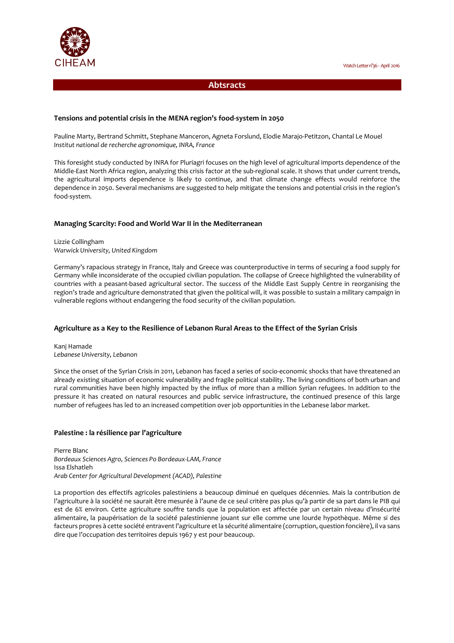

# **Abtsracts**

# **Tensions and potential crisis in the MENA region's food-system in 2050**

Pauline Marty, Bertrand Schmitt, Stephane Manceron, Agneta Forslund, Elodie Marajo-Petitzon, Chantal Le Mouel *Institut national de recherche agronomique, INRA, France* 

This foresight study conducted by INRA for Pluriagri focuses on the high level of agricultural imports dependence of the Middle-East North Africa region, analyzing this crisis factor at the sub-regional scale. It shows that under current trends, the agricultural imports dependence is likely to continue, and that climate change effects would reinforce the dependence in 2050. Several mechanisms are suggested to help mitigate the tensions and potential crisis in the region's food-system.

#### **Managing Scarcity: Food and World War II in the Mediterranean**

Lizzie Collingham *Warwick University, United Kingdom* 

Germany's rapacious strategy in France, Italy and Greece was counterproductive in terms of securing a food supply for Germany while inconsiderate of the occupied civilian population. The collapse of Greece highlighted the vulnerability of countries with a peasant-based agricultural sector. The success of the Middle East Supply Centre in reorganising the region's trade and agriculture demonstrated that given the political will, it was possible to sustain a military campaign in vulnerable regions without endangering the food security of the civilian population.

# **Agriculture as a Key to the Resilience of Lebanon Rural Areas to the Effect of the Syrian Crisis**

Kanj Hamade *Lebanese University, Lebanon* 

Since the onset of the Syrian Crisis in 2011, Lebanon has faced a series of socio-economic shocks that have threatened an already existing situation of economic vulnerability and fragile political stability. The living conditions of both urban and rural communities have been highly impacted by the influx of more than a million Syrian refugees. In addition to the pressure it has created on natural resources and public service infrastructure, the continued presence of this large number of refugees has led to an increased competition over job opportunities in the Lebanese labor market.

# **Palestine : la résilience par l'agriculture**

Pierre Blanc *Bordeaux Sciences Agro, Sciences Po Bordeaux-LAM, France*  Issa Elshatleh *Arab Center for Agricultural Development (ACAD), Palestine* 

La proportion des effectifs agricoles palestiniens a beaucoup diminué en quelques décennies. Mais la contribution de l'agriculture à la société ne saurait être mesurée à l'aune de ce seul critère pas plus qu'à partir de sa part dans le PIB qui est de 6% environ. Cette agriculture souffre tandis que la population est affectée par un certain niveau d'insécurité alimentaire, la paupérisation de la société palestinienne jouant sur elle comme une lourde hypothèque. Même si des facteurs propres à cette société entravent l'agriculture et la sécurité alimentaire (corruption, question foncière), il va sans dire que l'occupation des territoires depuis 1967 y est pour beaucoup.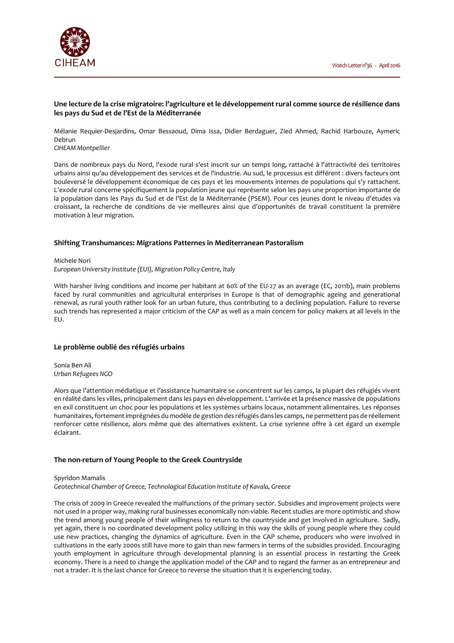

#### **Une lecture de la crise migratoire: l'agriculture et le développement rural comme source de résilience dans les pays du Sud et de l'Est de la Méditerranée**

Mélanie Requier-Desjardins, Omar Bessaoud, Dima Issa, Didier Berdaguer, Zied Ahmed, Rachid Harbouze, Aymeric Debrun

*CIHEAM Montpellier* 

Dans de nombreux pays du Nord, l'exode rural s'est inscrit sur un temps long, rattaché à l'attractivité des territoires urbains ainsi qu'au développement des services et de l'industrie. Au sud, le processus est différent : divers facteurs ont bouleversé le développement économique de ces pays et les mouvements internes de populations qui s'y rattachent. L'exode rural concerne spécifiquement la population jeune qui représente selon les pays une proportion importante de la population dans les Pays du Sud et de l'Est de la Méditerranée (PSEM). Pour ces jeunes dont le niveau d'études va croissant, la recherche de conditions de vie meilleures ainsi que d'opportunités de travail constituent la première motivation à leur migration.

# **Shifting Transhumances: Migrations Patternes in Mediterranean Pastoralism**

Michele Nori *European University Institute (EUI), Migration Policy Centre, Italy* 

With harsher living conditions and income per habitant at 60% of the EU-27 as an average (EC, 2011b), main problems faced by rural communities and agricultural enterprises in Europe is that of demographic ageing and generational renewal, as rural youth rather look for an urban future, thus contributing to a declining population. Failure to reverse such trends has represented a major criticism of the CAP as well as a main concern for policy makers at all levels in the EU.

#### **Le problème oublié des réfugiés urbains**

Sonia Ben Ali *Urban Refugees NGO* 

Alors que l'attention médiatique et l'assistance humanitaire se concentrent sur les camps, la plupart des réfugiés vivent en réalité dans les villes, principalement dans les pays en développement. L'arrivée et la présence massive de populations en exil constituent un choc pour les populations et les systèmes urbains locaux, notamment alimentaires. Les réponses humanitaires, fortement imprégnées du modèle de gestion des réfugiés dans les camps, ne permettent pas de réellement renforcer cette résilience, alors même que des alternatives existent. La crise syrienne offre à cet égard un exemple éclairant.

# **The non-return of Young People to the Greek Countryside**

Spyridon Mamalis

*Geotechnical Chamber of Greece, Technological Education Institute of Kavala, Greece* 

The crisis of 2009 in Greece revealed the malfunctions of the primary sector. Subsidies and improvement projects were not used in a proper way, making rural businesses economically non-viable. Recent studies are more optimistic and show the trend among young people of their willingness to return to the countryside and get involved in agriculture. Sadly, yet again, there is no coordinated development policy utilizing in this way the skills of young people where they could use new practices, changing the dynamics of agriculture. Even in the CAP scheme, producers who were involved in cultivations in the early 2000s still have more to gain than new farmers in terms of the subsidies provided. Encouraging youth employment in agriculture through developmental planning is an essential process in restarting the Greek economy. There is a need to change the application model of the CAP and to regard the farmer as an entrepreneur and not a trader. It is the last chance for Greece to reverse the situation that it is experiencing today.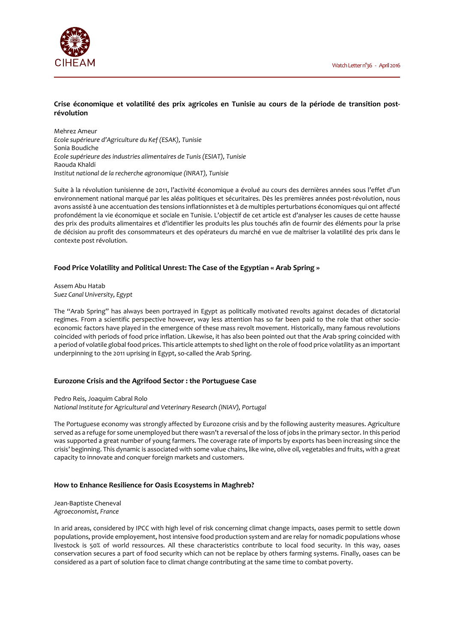

# **Crise économique et volatilité des prix agricoles en Tunisie au cours de la période de transition postrévolution**

Mehrez Ameur *Ecole supérieure d'Agriculture du Kef (ESAK), Tunisie*  Sonia Boudiche *Ecole supérieure des industries alimentaires de Tunis (ESIAT), Tunisie*  Raouda Khaldi *Institut national de la recherche agronomique (INRAT), Tunisie* 

Suite à la révolution tunisienne de 2011, l'activité économique a évolué au cours des dernières années sous l'effet d'un environnement national marqué par les aléas politiques et sécuritaires. Dès les premières années post-révolution, nous avons assisté à une accentuation des tensions inflationnistes et à de multiples perturbations économiques qui ont affecté profondément la vie économique et sociale en Tunisie. L'objectif de cet article est d'analyser les causes de cette hausse des prix des produits alimentaires et d'identifier les produits les plus touchés afin de fournir des éléments pour la prise de décision au profit des consommateurs et des opérateurs du marché en vue de maîtriser la volatilité des prix dans le contexte post révolution.

# **Food Price Volatility and Political Unrest: The Case of the Egyptian « Arab Spring »**

Assem Abu Hatab *Suez Canal University, Egypt* 

The "Arab Spring" has always been portrayed in Egypt as politically motivated revolts against decades of dictatorial regimes. From a scientific perspective however, way less attention has so far been paid to the role that other socioeconomic factors have played in the emergence of these mass revolt movement. Historically, many famous revolutions coincided with periods of food price inflation. Likewise, it has also been pointed out that the Arab spring coincided with a period of volatile global food prices. This article attempts to shed light on the role of food price volatility as an important underpinning to the 2011 uprising in Egypt, so-called the Arab Spring.

# **Eurozone Crisis and the Agrifood Sector : the Portuguese Case**

Pedro Reis, Joaquim Cabral Rolo *National Institute for Agricultural and Veterinary Research (INIAV), Portugal* 

The Portuguese economy was strongly affected by Eurozone crisis and by the following austerity measures. Agriculture served as a refuge for some unemployed but there wasn't a reversal of the loss of jobs in the primary sector. In this period was supported a great number of young farmers. The coverage rate of imports by exports has been increasing since the crisis' beginning. This dynamic is associated with some value chains, like wine, olive oil, vegetables and fruits, with a great capacity to innovate and conquer foreign markets and customers.

# **How to Enhance Resilience for Oasis Ecosystems in Maghreb?**

Jean-Baptiste Cheneval *Agroeconomist, France* 

In arid areas, considered by IPCC with high level of risk concerning climat change impacts, oases permit to settle down populations, provide employement, host intensive food production system and are relay for nomadic populations whose livestock is 50% of world ressources. All these characteristics contribute to local food security. In this way, oases conservation secures a part of food security which can not be replace by others farming systems. Finally, oases can be considered as a part of solution face to climat change contributing at the same time to combat poverty.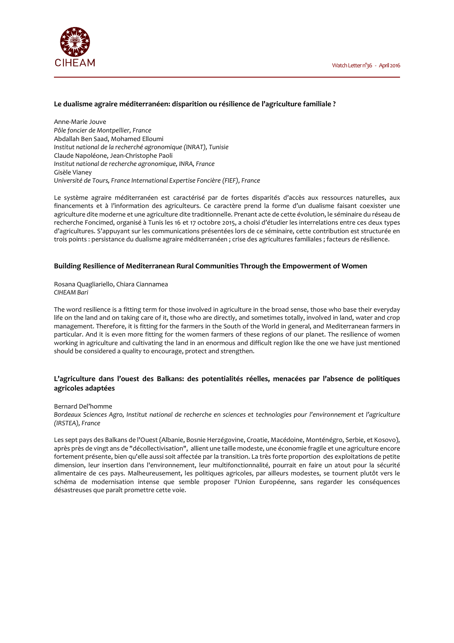

#### **Le dualisme agraire méditerranéen: disparition ou résilience de l'agriculture familiale ?**

Anne-Marie Jouve *Pôle foncier de Montpellier, France*  Abdallah Ben Saad, Mohamed Elloumi *Institut national de la recherché agronomique (INRAT), Tunisie*  Claude Napoléone, Jean-Christophe Paoli *Institut national de recherche agronomique, INRA, France*  Gisèle Vianey *Université de Tours, France International Expertise Foncière (FIEF), France* 

Le système agraire méditerranéen est caractérisé par de fortes disparités d'accès aux ressources naturelles, aux financements et à l'information des agriculteurs. Ce caractère prend la forme d'un dualisme faisant coexister une agriculture dite moderne et une agriculture dite traditionnelle. Prenant acte de cette évolution, le séminaire du réseau de recherche Foncimed, organisé à Tunis les 16 et 17 octobre 2015, a choisi d'étudier les interrelations entre ces deux types d'agricultures. S'appuyant sur les communications présentées lors de ce séminaire, cette contribution est structurée en trois points : persistance du dualisme agraire méditerranéen ; crise des agricultures familiales ; facteurs de résilience.

#### **Building Resilience of Mediterranean Rural Communities Through the Empowerment of Women**

Rosana Quagliariello, Chiara Ciannamea *CIHEAM Bari* 

The word resilience is a fitting term for those involved in agriculture in the broad sense, those who base their everyday life on the land and on taking care of it, those who are directly, and sometimes totally, involved in land, water and crop management. Therefore, it is fitting for the farmers in the South of the World in general, and Mediterranean farmers in particular. And it is even more fitting for the women farmers of these regions of our planet. The resilience of women working in agriculture and cultivating the land in an enormous and difficult region like the one we have just mentioned should be considered a quality to encourage, protect and strengthen.

# **L'agriculture dans l'ouest des Balkans: des potentialités réelles, menacées par l'absence de politiques agricoles adaptées**

#### Bernard Del'homme

*Bordeaux Sciences Agro, Institut national de recherche en sciences et technologies pour l'environnement et l'agriculture (IRSTEA), France* 

Les sept pays des Balkans de l'Ouest (Albanie, Bosnie Herzégovine, Croatie, Macédoine, Monténégro, Serbie, et Kosovo), après près de vingt ans de "décollectivisation", allient une taille modeste, une économie fragile et une agriculture encore fortement présente, bien qu'elle aussi soit affectée par la transition. La très forte proportion des exploitations de petite dimension, leur insertion dans l'environnement, leur multifonctionnalité, pourrait en faire un atout pour la sécurité alimentaire de ces pays. Malheureusement, les politiques agricoles, par ailleurs modestes, se tournent plutôt vers le schéma de modernisation intense que semble proposer l'Union Européenne, sans regarder les conséquences désastreuses que paraît promettre cette voie.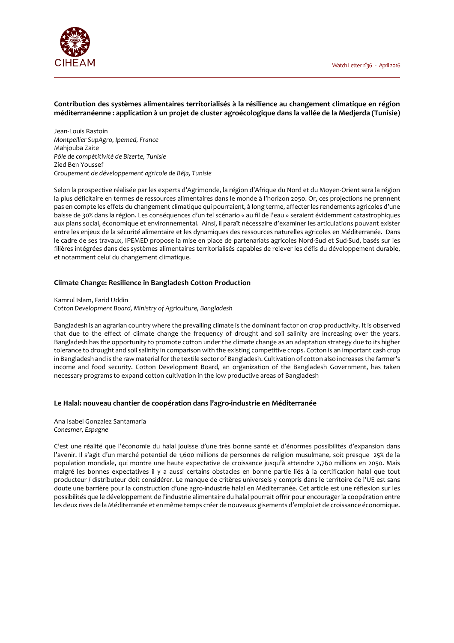

**Contribution des systèmes alimentaires territorialisés à la résilience au changement climatique en région méditerranéenne : application à un projet de cluster agroécologique dans la vallée de la Medjerda (Tunisie)** 

Jean-Louis Rastoin *Montpellier SupAgro, Ipemed, France*  Mahjouba Zaite *Pôle de compétitivité de Bizerte, Tunisie*  Zied Ben Youssef *Groupement de développement agricole de Béja, Tunisie* 

Selon la prospective réalisée par les experts d'Agrimonde, la région d'Afrique du Nord et du Moyen-Orient sera la région la plus déficitaire en termes de ressources alimentaires dans le monde à l'horizon 2050. Or, ces projections ne prennent pas en compte les effets du changement climatique qui pourraient, à long terme, affecter les rendements agricoles d'une baisse de 30% dans la région. Les conséquences d'un tel scénario « au fil de l'eau » seraient évidemment catastrophiques aux plans social, économique et environnemental. Ainsi, il paraît nécessaire d'examiner les articulations pouvant exister entre les enjeux de la sécurité alimentaire et les dynamiques des ressources naturelles agricoles en Méditerranée. Dans le cadre de ses travaux, IPEMED propose la mise en place de partenariats agricoles Nord-Sud et Sud-Sud, basés sur les filières intégrées dans des systèmes alimentaires territorialisés capables de relever les défis du développement durable, et notamment celui du changement climatique.

#### **Climate Change: Resilience in Bangladesh Cotton Production**

Kamrul Islam, Farid Uddin *Cotton Development Board, Ministry of Agriculture, Bangladesh* 

Bangladesh is an agrarian country where the prevailing climate is the dominant factor on crop productivity. It is observed that due to the effect of climate change the frequency of drought and soil salinity are increasing over the years. Bangladesh has the opportunity to promote cotton under the climate change as an adaptation strategy due to its higher tolerance to drought and soil salinity in comparison with the existing competitive crops. Cotton is an important cash crop in Bangladesh and is the raw material for the textile sector of Bangladesh. Cultivation of cotton also increases the farmer's income and food security. Cotton Development Board, an organization of the Bangladesh Government, has taken necessary programs to expand cotton cultivation in the low productive areas of Bangladesh

#### **Le Halal: nouveau chantier de coopération dans l'agro-industrie en Méditerranée**

Ana Isabel Gonzalez Santamaria *Conesmer, Espagne* 

C'est une réalité que l'économie du halal jouisse d'une très bonne santé et d'énormes possibilités d'expansion dans l'avenir. Il s'agit d'un marché potentiel de 1,600 millions de personnes de religion musulmane, soit presque 25% de la population mondiale, qui montre une haute expectative de croissance jusqu'à atteindre 2,760 millions en 2050. Mais malgré les bonnes expectatives il y a aussi certains obstacles en bonne partie liés à la certification halal que tout producteur / distributeur doit considérer. Le manque de critères universels y compris dans le territoire de l'UE est sans doute une barrière pour la construction d'une agro-industrie halal en Méditerranée. Cet article est une réflexion sur les possibilités que le développement de l'industrie alimentaire du halal pourrait offrir pour encourager la coopération entre les deux rives de la Méditerranée et en même temps créer de nouveaux gisements d'emploi et de croissance économique.